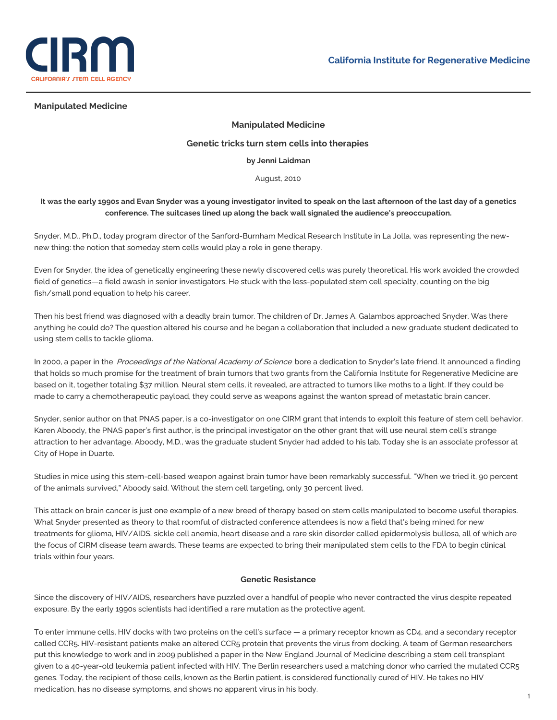

## **Manipulated Medicine**

# **Manipulated Medicine**

#### **Genetic tricks turn stem cells into therapies**

#### **by Jenni Laidman**

#### August, 2010

# It was the early 1990s and Evan Snyder was a young investigator invited to speak on the last afternoon of the last day of a genetics **conference. The suitcases lined up along the back wall signaled the audience's preoccupation.**

Snyder, M.D., Ph.D., today program director of the Sanford-Burnham Medical Research Institute in La Jolla, was representing the newnew thing: the notion that someday stem cells would play a role in gene therapy.

Even for Snyder, the idea of genetically engineering these newly discovered cells was purely theoretical. His work avoided the crowded field of genetics—a field awash in senior investigators. He stuck with the less-populated stem cell specialty, counting on the big fish/small pond equation to help his career.

Then his best friend was diagnosed with a deadly brain tumor. The children of Dr. James A. Galambos approached Snyder. Was there anything he could do? The question altered his course and he began a collaboration that included a new graduate student dedicated to using stem cells to tackle glioma.

In 2000, a paper in the Proceedings of the National Academy of Science bore a dedication to Snyder's late friend. It announced a finding that holds so much promise for the treatment of brain tumors that two grants from the California Institute for Regenerative Medicine are based on it, together totaling \$37 million. Neural stem cells, it revealed, are attracted to tumors like moths to a light. If they could be made to carry a chemotherapeutic payload, they could serve as weapons against the wanton spread of metastatic brain cancer.

Snyder, senior author on that PNAS paper, is a co-investigator on one CIRM grant that intends to exploit this feature of stem cell behavior. Karen Aboody, the PNAS paper's first author, is the principal investigator on the other grant that will use neural stem cell's strange attraction to her advantage. Aboody, M.D., was the graduate student Snyder had added to his lab. Today she is an associate professor at City of Hope in Duarte.

Studies in mice using this stem-cell-based weapon against brain tumor have been remarkably successful. "When we tried it, 90 percent of the animals survived," Aboody said. Without the stem cell targeting, only 30 percent lived.

This attack on brain cancer is just one example of a new breed of therapy based on stem cells manipulated to become useful therapies. What Snyder presented as theory to that roomful of distracted conference attendees is now a field that's being mined for new treatments for glioma, HIV/AIDS, sickle cell anemia, heart disease and a rare skin disorder called epidermolysis bullosa, all of which are the focus of CIRM disease team awards. These teams are expected to bring their manipulated stem cells to the FDA to begin clinical trials within four years.

#### **Genetic Resistance**

Since the discovery of HIV/AIDS, researchers have puzzled over a handful of people who never contracted the virus despite repeated exposure. By the early 1990s scientists had identified a rare mutation as the protective agent.

To enter immune cells, HIV docks with two proteins on the cell's surface — a primary receptor known as CD4, and a secondary receptor called CCR5. HIV-resistant patients make an altered CCR5 protein that prevents the virus from docking. A team of German researchers put this knowledge to work and in 2009 published a paper in the New England Journal of Medicine describing a stem cell transplant given to a 40-year-old leukemia patient infected with HIV. The Berlin researchers used a matching donor who carried the mutated CCR5 genes. Today, the recipient of those cells, known as the Berlin patient, is considered functionally cured of HIV. He takes no HIV medication, has no disease symptoms, and shows no apparent virus in his body.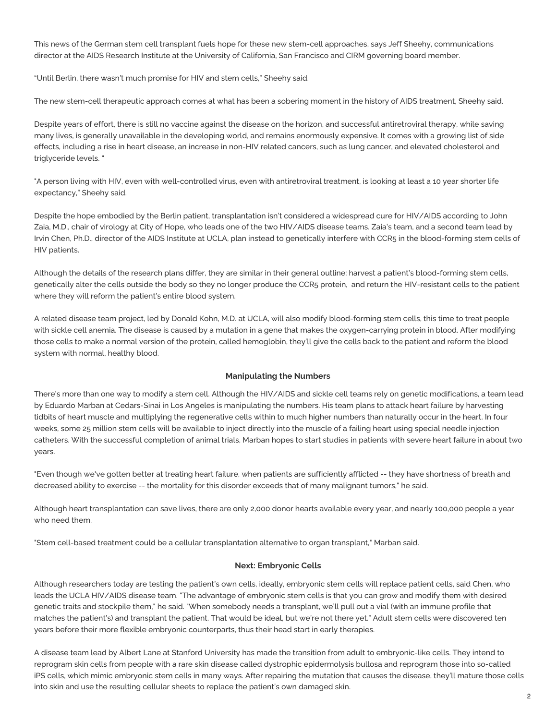This news of the German stem cell transplant fuels hope for these new stem-cell approaches, says Jeff Sheehy, communications director at the AIDS Research Institute at the University of California, San Francisco and CIRM governing board member.

"Until Berlin, there wasn't much promise for HIV and stem cells," Sheehy said.

The new stem-cell therapeutic approach comes at what has been a sobering moment in the history of AIDS treatment, Sheehy said.

Despite years of effort, there is still no vaccine against the disease on the horizon, and successful antiretroviral therapy, while saving many lives, is generally unavailable in the developing world, and remains enormously expensive. It comes with a growing list of side effects, including a rise in heart disease, an increase in non-HIV related cancers, such as lung cancer, and elevated cholesterol and triglyceride levels. "

"A person living with HIV, even with well-controlled virus, even with antiretroviral treatment, is looking at least a 10 year shorter life expectancy," Sheehy said.

Despite the hope embodied by the Berlin patient, transplantation isn't considered a widespread cure for HIV/AIDS according to John Zaia, M.D., chair of virology at City of Hope, who leads one of the two HIV/AIDS disease teams. Zaia's team, and a second team lead by Irvin Chen, Ph.D., director of the AIDS Institute at UCLA, plan instead to genetically interfere with CCR5 in the blood-forming stem cells of HIV patients.

Although the details of the research plans differ, they are similar in their general outline: harvest a patient's blood-forming stem cells, genetically alter the cells outside the body so they no longer produce the CCR5 protein, and return the HIV-resistant cells to the patient where they will reform the patient's entire blood system.

A related disease team project, led by Donald Kohn, M.D. at UCLA, will also modify blood-forming stem cells, this time to treat people with sickle cell anemia. The disease is caused by a mutation in a gene that makes the oxygen-carrying protein in blood. After modifying those cells to make a normal version of the protein, called hemoglobin, they'll give the cells back to the patient and reform the blood system with normal, healthy blood.

### **Manipulating the Numbers**

There's more than one way to modify a stem cell. Although the HIV/AIDS and sickle cell teams rely on genetic modifications, a team lead by Eduardo Marban at Cedars-Sinai in Los Angeles is manipulating the numbers. His team plans to attack heart failure by harvesting tidbits of heart muscle and multiplying the regenerative cells within to much higher numbers than naturally occur in the heart. In four weeks, some 25 million stem cells will be available to inject directly into the muscle of a failing heart using special needle injection catheters. With the successful completion of animal trials, Marban hopes to start studies in patients with severe heart failure in about two years.

"Even though we've gotten better at treating heart failure, when patients are sufficiently afflicted -- they have shortness of breath and decreased ability to exercise -- the mortality for this disorder exceeds that of many malignant tumors," he said.

Although heart transplantation can save lives, there are only 2,000 donor hearts available every year, and nearly 100,000 people a year who need them.

"Stem cell-based treatment could be a cellular transplantation alternative to organ transplant," Marban said.

# **Next: Embryonic Cells**

Although researchers today are testing the patient's own cells, ideally, embryonic stem cells will replace patient cells, said Chen, who leads the UCLA HIV/AIDS disease team. "The advantage of embryonic stem cells is that you can grow and modify them with desired genetic traits and stockpile them," he said. "When somebody needs a transplant, we'll pull out a vial (with an immune profile that matches the patient's) and transplant the patient. That would be ideal, but we're not there yet." Adult stem cells were discovered ten years before their more flexible embryonic counterparts, thus their head start in early therapies.

A disease team lead by Albert Lane at Stanford University has made the transition from adult to embryonic-like cells. They intend to reprogram skin cells from people with a rare skin disease called dystrophic epidermolysis bullosa and reprogram those into so-called iPS cells, which mimic embryonic stem cells in many ways. After repairing the mutation that causes the disease, they'll mature those cells into skin and use the resulting cellular sheets to replace the patient's own damaged skin.